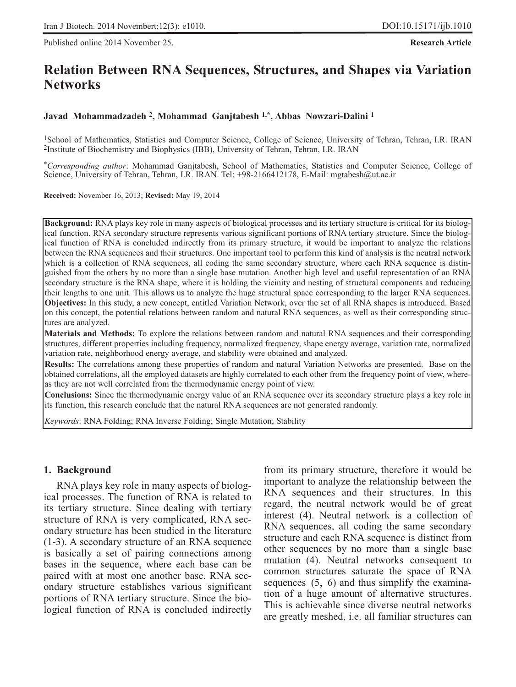Published online 2014 November 25. **Research Article**

# **Relation Between RNA Sequences, Structures, and Shapes via Variation Networks**

### **Javad Mohammadzadeh 2, Mohammad Ganjtabesh 1,\*, Abbas Nowzari-Dalini 1**

1School of Mathematics, Statistics and Computer Science, College of Science, University of Tehran, Tehran, I.R. IRAN 2Institute of Biochemistry and Biophysics (IBB), University of Tehran, Tehran, I.R. IRAN

*\*Corresponding author*: Mohammad Ganjtabesh, School of Mathematics, Statistics and Computer Science, College of Science, University of Tehran, Tehran, I.R. IRAN. Tel: +98-2166412178, E-Mail: mgtabesh@ut.ac.ir

**Received:** November 16, 2013; **Revised:** May 19, 2014

**Background:** RNA plays key role in many aspects of biological processes and its tertiary structure is critical for its biological function. RNA secondary structure represents various significant portions of RNA tertiary structure. Since the biological function of RNA is concluded indirectly from its primary structure, it would be important to analyze the relations between the RNA sequences and their structures. One important tool to perform this kind of analysis is the neutral network which is a collection of RNA sequences, all coding the same secondary structure, where each RNA sequence is distinguished from the others by no more than a single base mutation. Another high level and useful representation of an RNA secondary structure is the RNA shape, where it is holding the vicinity and nesting of structural components and reducing their lengths to one unit. This allows us to analyze the huge structural space corresponding to the larger RNA sequences. **Objectives:** In this study, a new concept, entitled Variation Network, over the set of all RNA shapes is introduced. Based on this concept, the potential relations between random and natural RNA sequences, as well as their corresponding structures are analyzed.

**Materials and Methods:** To explore the relations between random and natural RNA sequences and their corresponding structures, different properties including frequency, normalized frequency, shape energy average, variation rate, normalized variation rate, neighborhood energy average, and stability were obtained and analyzed.

**Results:** The correlations among these properties of random and natural Variation Networks are presented. Base on the obtained correlations, all the employed datasets are highly correlated to each other from the frequency point of view, whereas they are not well correlated from the thermodynamic energy point of view.

**Conclusions:** Since the thermodynamic energy value of an RNA sequence over its secondary structure plays a key role in its function, this research conclude that the natural RNA sequences are not generated randomly.

*Keywords*: RNA Folding; RNA Inverse Folding; Single Mutation; Stability

### **1. Background**

RNA plays key role in many aspects of biological processes. The function of RNA is related to its tertiary structure. Since dealing with tertiary structure of RNA is very complicated, RNA secondary structure has been studied in the literature (1-3). A secondary structure of an RNA sequence is basically a set of pairing connections among bases in the sequence, where each base can be paired with at most one another base. RNA secondary structure establishes various significant portions of RNA tertiary structure. Since the biological function of RNA is concluded indirectly from its primary structure, therefore it would be important to analyze the relationship between the RNA sequences and their structures. In this regard, the neutral network would be of great interest (4). Neutral network is a collection of RNA sequences, all coding the same secondary structure and each RNA sequence is distinct from other sequences by no more than a single base mutation (4). Neutral networks consequent to common structures saturate the space of RNA sequences (5, 6) and thus simplify the examination of a huge amount of alternative structures. This is achievable since diverse neutral networks are greatly meshed, i.e. all familiar structures can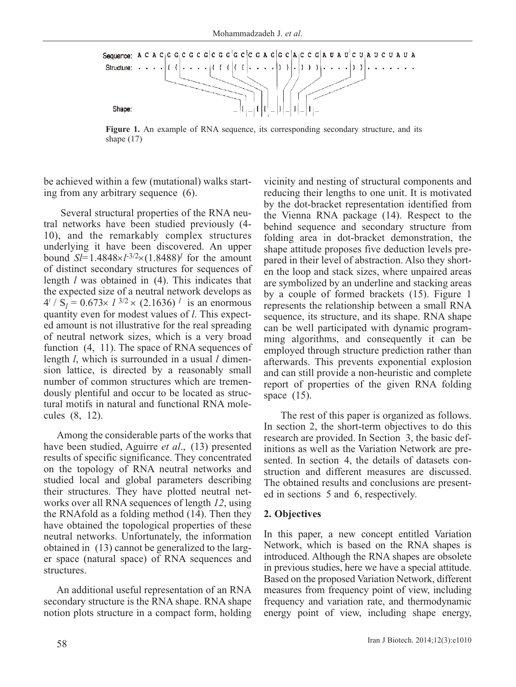

**Figure 1.** An example of RNA sequence, its corresponding secondary structure, and its shape (17)

be achieved within a few (mutational) walks starting from any arbitrary sequence (6).

Several structural properties of the RNA neutral networks have been studied previously (4- 10), and the remarkably complex structures underlying it have been discovered. An upper bound  $S = 1.4848 \times 1^{3/2} \times (1.8488)^l$  for the amount of distinct secondary structures for sequences of length *l* was obtained in (4). This indicates that the expected size of a neutral network develops as  $4^{l}$  / S<sub>l</sub> = 0.673×  $l^{3/2}$  × (2.1636)<sup>l</sup> is an enormous quantity even for modest values of *l*. This expected amount is not illustrative for the real spreading of neutral network sizes, which is a very broad function (4, 11). The space of RNA sequences of length *l*, which is surrounded in a usual *l* dimension lattice, is directed by a reasonably small number of common structures which are tremendously plentiful and occur to be located as structural motifs in natural and functional RNA molecules (8, 12).

Among the considerable parts of the works that have been studied, Aguirre *et al*., (13) presented results of specific significance. They concentrated on the topology of RNA neutral networks and studied local and global parameters describing their structures. They have plotted neutral networks over all RNA sequences of length *12*, using the RNAfold as a folding method (14). Then they have obtained the topological properties of these neutral networks. Unfortunately, the information obtained in (13) cannot be generalized to the larger space (natural space) of RNA sequences and structures.

An additional useful representation of an RNA secondary structure is the RNA shape. RNA shape notion plots structure in a compact form, holding vicinity and nesting of structural components and reducing their lengths to one unit. It is motivated by the dot-bracket representation identified from the Vienna RNA package (14). Respect to the behind sequence and secondary structure from folding area in dot-bracket demonstration, the shape attitude proposes five deduction levels prepared in their level of abstraction. Also they shorten the loop and stack sizes, where unpaired areas are symbolized by an underline and stacking areas by a couple of formed brackets (15). Figure 1 represents the relationship between a small RNA sequence, its structure, and its shape. RNA shape can be well participated with dynamic programming algorithms, and consequently it can be employed through structure prediction rather than afterwards. This prevents exponential explosion and can still provide a non-heuristic and complete report of properties of the given RNA folding space  $(15)$ .

The rest of this paper is organized as follows. In section 2, the short-term objectives to do this research are provided. In Section 3, the basic definitions as well as the Variation Network are presented. In section 4, the details of datasets construction and different measures are discussed. The obtained results and conclusions are presented in sections 5 and 6, respectively.

#### **2. Objectives**

In this paper, a new concept entitled Variation Network, which is based on the RNA shapes is introduced. Although the RNA shapes are obsolete in previous studies, here we have a special attitude. Based on the proposed Variation Network, different measures from frequency point of view, including frequency and variation rate, and thermodynamic energy point of view, including shape energy,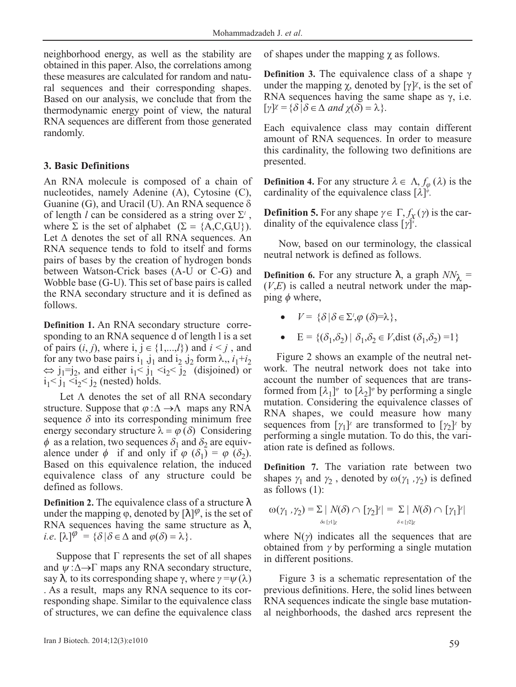neighborhood energy, as well as the stability are obtained in this paper. Also, the correlations among these measures are calculated for random and natural sequences and their corresponding shapes. Based on our analysis, we conclude that from the thermodynamic energy point of view, the natural RNA sequences are different from those generated randomly.

### **3. Basic Definitions**

An RNA molecule is composed of a chain of nucleotides, namely Adenine (A), Cytosine (C), Guanine (G), and Uracil (U). An RNA sequence  $\delta$ of length *l* can be considered as a string over  $\Sigma^{\prime}$ , where  $\Sigma$  is the set of alphabet ( $\Sigma = \{A, C, G, U\}$ ). Let  $\Delta$  denotes the set of all RNA sequences. An RNA sequence tends to fold to itself and forms pairs of bases by the creation of hydrogen bonds between Watson-Crick bases (A-U or C-G) and Wobble base (G-U). This set of base pairs is called the RNA secondary structure and it is defined as follows.

**Definition 1.** An RNA secondary structure corresponding to an RNA sequence d of length l is a set of pairs  $(i, j)$ , where  $i, j \in \{1, \ldots, l\}$  and  $i \leq j$ , and for any two base pairs  $i_1$ ,  $j_1$  and  $i_2$ ,  $j_2$  form  $\lambda$ ,,  $i_1 + i_2$  $\Leftrightarrow$  j<sub>1</sub>=j<sub>2</sub>, and either i<sub>1</sub>< j<sub>1</sub> <i<sub>2</sub> <j<sub>2</sub><sup>-</sup> (disjoined) or  $i_1 < j_1 < i_2 < j_2$  (nested) holds.

Let  $\Lambda$  denotes the set of all RNA secondary structure. Suppose that  $\varphi : \Delta \to \Lambda$  maps any RNA sequence  $\delta$  into its corresponding minimum free energy secondary structure  $\lambda = \varphi(\delta)$  Considering  $\phi$  as a relation, two sequences  $\delta_1$  and  $\delta_2$  are equivalence under  $\phi$  if and only if  $\phi$  ( $\delta_1$ ) =  $\phi$  ( $\delta_2$ ). Based on this equivalence relation, the induced equivalence class of any structure could be defined as follows.

**Definition 2.** The equivalence class of a structure  $\lambda$ under the mapping  $\varphi$ , denoted by  $[\lambda]^\varphi$ , is the set of RNA sequences having the same structure as  $\lambda$ , *i.e.*  $[\lambda]^\varphi = {\delta | \delta \in \Delta \text{ and } \varphi(\delta) = \lambda}.$ 

Suppose that  $\Gamma$  represents the set of all shapes and  $\psi : \Delta \rightarrow \Gamma$  maps any RNA secondary structure, say  $\lambda$ , to its corresponding shape  $\gamma$ , where  $\gamma = \psi(\lambda)$ . As a result, maps any RNA sequence to its corresponding shape. Similar to the equivalence class of structures, we can define the equivalence class of shapes under the mapping  $\chi$  as follows.

**Definition 3.** The equivalence class of a shape γ under the mapping  $\chi$ , denoted by [γ] $\chi$ , is the set of RNA sequences having the same shape as  $\gamma$ , i.e.  $[\gamma] \chi = {\delta | \delta \in \Delta \text{ and } \chi(\delta) = \lambda}.$ 

Each equivalence class may contain different amount of RNA sequences. In order to measure this cardinality, the following two definitions are presented.

**Definition 4.** For any structure  $\lambda \in \Lambda$ ,  $f_{\varphi}(\lambda)$  is the cardinality of the equivalence class  $[\lambda]$ <sup> $\phi$ </sup>.

**Definition 5.** For any shape  $\gamma \in \Gamma$ ,  $f_\chi(\gamma)$  is the cardinality of the equivalence class  $[\gamma]$ <sup>x</sup>.

Now, based on our terminology, the classical neutral network is defined as follows.

**Definition 6.** For any structure  $\lambda$ , a graph  $NN_{\lambda}$  =  $(V,E)$  is called a neutral network under the mapping  $\phi$  where,

- $V = \{\delta \, | \, \delta \in \Sigma^{\prime}, \varphi \ (\delta) = \lambda \},\,$
- E =  $\{(\delta_1, \delta_2) | \delta_1, \delta_2 \in V$ , dist  $(\delta_1, \delta_2) = 1\}$

Figure 2 shows an example of the neutral network. The neutral network does not take into account the number of sequences that are transformed from  $[\lambda_1]^{\varphi}$  to  $[\lambda_2]^{\varphi}$  by performing a single mutation. Considering the equivalence classes of RNA shapes, we could measure how many sequences from  $[\gamma_1]^{\gamma}$  are transformed to  $[\gamma_2]^{\gamma}$  by performing a single mutation. To do this, the variation rate is defined as follows.

**Definition 7.** The variation rate between two shapes  $\gamma_1$  and  $\gamma_2$ , denoted by  $\omega(\gamma_1, \gamma_2)$  is defined as follows (1):

$$
\omega(\gamma_1, \gamma_2) = \sum_{\delta \in [\gamma] \chi} N(\delta) \cap [\gamma_2]^{\chi} = \sum_{\delta \in [\gamma] \chi} N(\delta) \cap [\gamma_1]^{\chi}
$$

where  $N(\gamma)$  indicates all the sequences that are obtained from  $\gamma$  by performing a single mutation in different positions.

Figure 3 is a schematic representation of the previous definitions. Here, the solid lines between RNA sequences indicate the single base mutational neighborhoods, the dashed arcs represent the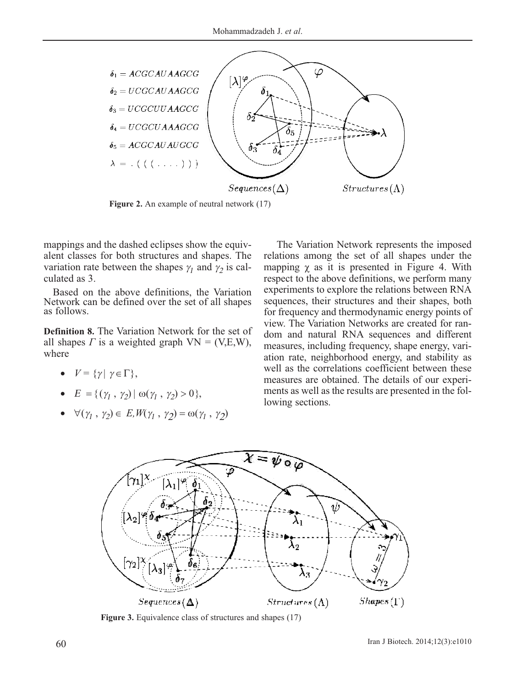

**Figure 2.** An example of neutral network (17)

mappings and the dashed eclipses show the equivalent classes for both structures and shapes. The variation rate between the shapes  $\gamma_1$  and  $\gamma_2$  is calculated as 3.

Based on the above definitions, the Variation Network can be defined over the set of all shapes as follows.

**Definition 8.** The Variation Network for the set of all shapes *Γ* is a weighted graph  $VN = (V,E,W)$ , where

- $V = \{\gamma | \gamma \in \Gamma\},\$
- $E = \{(\gamma_1, \gamma_2) | \omega(\gamma_1, \gamma_2) > 0\},\$
- $\forall (\gamma_1, \gamma_2) \in E, W(\gamma_1, \gamma_2) = \omega(\gamma_1, \gamma_2)$

The Variation Network represents the imposed relations among the set of all shapes under the mapping  $\chi$  as it is presented in Figure 4. With respect to the above definitions, we perform many experiments to explore the relations between RNA sequences, their structures and their shapes, both for frequency and thermodynamic energy points of view. The Variation Networks are created for random and natural RNA sequences and different measures, including frequency, shape energy, variation rate, neighborhood energy, and stability as well as the correlations coefficient between these measures are obtained. The details of our experiments as well as the results are presented in the following sections.



**Figure 3.** Equivalence class of structures and shapes (17)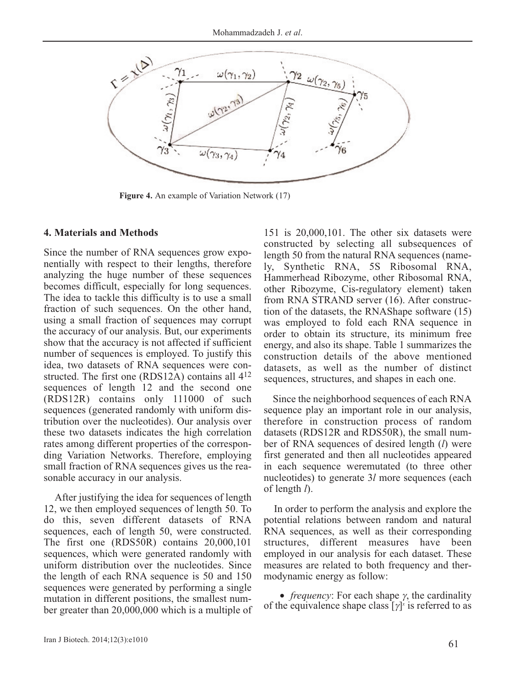

**Figure 4.** An example of Variation Network (17)

### **4. Materials and Methods**

Since the number of RNA sequences grow exponentially with respect to their lengths, therefore analyzing the huge number of these sequences becomes difficult, especially for long sequences. The idea to tackle this difficulty is to use a small fraction of such sequences. On the other hand, using a small fraction of sequences may corrupt the accuracy of our analysis. But, our experiments show that the accuracy is not affected if sufficient number of sequences is employed. To justify this idea, two datasets of RNA sequences were constructed. The first one (RDS12A) contains all 412 sequences of length 12 and the second one (RDS12R) contains only 111000 of such sequences (generated randomly with uniform distribution over the nucleotides). Our analysis over these two datasets indicates the high correlation rates among different properties of the corresponding Variation Networks. Therefore, employing small fraction of RNA sequences gives us the reasonable accuracy in our analysis.

After justifying the idea for sequences of length 12, we then employed sequences of length 50. To do this, seven different datasets of RNA sequences, each of length 50, were constructed. The first one (RDS50R) contains 20,000,101 sequences, which were generated randomly with uniform distribution over the nucleotides. Since the length of each RNA sequence is 50 and 150 sequences were generated by performing a single mutation in different positions, the smallest number greater than 20,000,000 which is a multiple of

151 is 20,000,101. The other six datasets were constructed by selecting all subsequences of length 50 from the natural RNA sequences (namely, Synthetic RNA, 5S Ribosomal RNA, Hammerhead Ribozyme, other Ribosomal RNA, other Ribozyme, Cis-regulatory element) taken from RNA STRAND server (16). After construction of the datasets, the RNAShape software (15) was employed to fold each RNA sequence in order to obtain its structure, its minimum free energy, and also its shape. Table 1 summarizes the construction details of the above mentioned datasets, as well as the number of distinct sequences, structures, and shapes in each one.

Since the neighborhood sequences of each RNA sequence play an important role in our analysis, therefore in construction process of random datasets (RDS12R and RDS50R), the small number of RNA sequences of desired length (*l*) were first generated and then all nucleotides appeared in each sequence weremutated (to three other nucleotides) to generate 3*l* more sequences (each of length *l*).

In order to perform the analysis and explore the potential relations between random and natural RNA sequences, as well as their corresponding structures, different measures have been employed in our analysis for each dataset. These measures are related to both frequency and thermodynamic energy as follow:

• *frequency*: For each shape γ, the cardinality of the equivalence shape class  $[\gamma]$ <sup>x</sup> is referred to as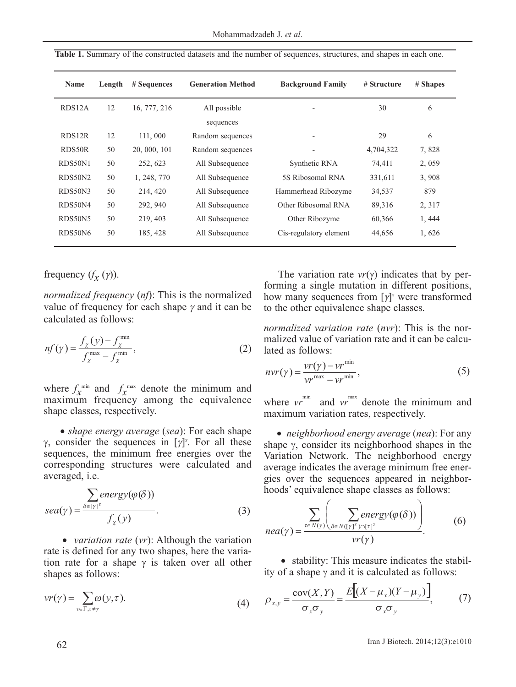| Name                | Length | # Sequences  | <b>Generation Method</b> | <b>Background Family</b> | # Structure | # Shapes |
|---------------------|--------|--------------|--------------------------|--------------------------|-------------|----------|
| RDS <sub>12</sub> A | 12     | 16, 777, 216 | All possible             |                          | 30          | 6        |
|                     |        |              | sequences                |                          |             |          |
| RDS <sub>12R</sub>  | 12     | 111,000      | Random sequences         |                          | 29          | 6        |
| RDS50R              | 50     | 20, 000, 101 | Random sequences         |                          | 4,704,322   | 7,828    |
| RDS50N1             | 50     | 252, 623     | All Subsequence          | Synthetic RNA            | 74,411      | 2,059    |
| RDS50N2             | 50     | 1, 248, 770  | All Subsequence          | 5S Ribosomal RNA         | 331,611     | 3,908    |
| RDS50N3             | 50     | 214, 420     | All Subsequence          | Hammerhead Ribozyme      | 34,537      | 879      |
| RDS50N4             | 50     | 292, 940     | All Subsequence          | Other Ribosomal RNA      | 89,316      | 2, 317   |
| RDS50N5             | 50     | 219, 403     | All Subsequence          | Other Ribozyme           | 60,366      | 1, 444   |
| RDS50N6             | 50     | 185, 428     | All Subsequence          | Cis-regulatory element   | 44,656      | 1,626    |

**Table 1.** Summary of the constructed datasets and the number of sequences, structures, and shapes in each one.

## frequency  $(f_X(y))$ .

*normalized frequency* (*nf*): This is the normalized value of frequency for each shape  $\gamma$  and it can be calculated as follows:

$$
nf(\gamma) = \frac{f_{\chi}(y) - f_{\chi}^{\min}}{f_{\chi}^{\max} - f_{\chi}^{\min}},
$$
\n(2)

where  $f_X^{\text{min}}$  and  $f_X^{\text{max}}$  denote the minimum and maximum frequency among the equivalence shape classes, respectively.

• *shape energy average* (*sea*): For each shape γ, consider the sequences in  $[γ]$ <sup>x</sup>. For all these sequences, the minimum free energies over the corresponding structures were calculated and averaged, i.e.

$$
sea(\gamma) = \frac{\sum_{\delta \in [\gamma]^{\chi}} energy(\varphi(\delta))}{f_{\chi}(y)}.
$$
 (3)

• *variation rate* (*vr*): Although the variation rate is defined for any two shapes, here the variation rate for a shape  $\gamma$  is taken over all other shapes as follows:

$$
\nu r(\gamma) = \sum_{\tau \in \Gamma, \tau \neq \gamma} \omega(\gamma, \tau). \tag{4}
$$

The variation rate *vr*(γ) indicates that by performing a single mutation in different positions, how many sequences from [γ] *<sup>x</sup>* were transformed to the other equivalence shape classes.

*normalized variation rate* (*nvr*): This is the normalized value of variation rate and it can be calculated as follows:

$$
nvr(\gamma) = \frac{vr(\gamma) - vr^{\min}}{vr^{\max} - vr^{\min}},
$$
\n(5)

where  $vr^{\min}$  and  $vr^{\max}$  denote the minimum and maximum variation rates, respectively.

• *neighborhood energy average* (*nea*): For any shape γ, consider its neighborhood shapes in the Variation Network. The neighborhood energy average indicates the average minimum free energies over the sequences appeared in neighborhoods' equivalence shape classes as follows:

$$
nea(\gamma) = \frac{\sum_{\tau \in N(\gamma)} \left( \sum_{\delta \in N([\gamma]^{\chi}) \cap [\tau]^{\chi}} energy(\varphi(\delta)) \right)}{vr(\gamma)}.
$$
 (6)

• stability: This measure indicates the stability of a shape  $\gamma$  and it is calculated as follows:

$$
\rho_{x,y} = \frac{\text{cov}(X,Y)}{\sigma_x \sigma_y} = \frac{E[(X - \mu_x)(Y - \mu_y)]}{\sigma_x \sigma_y},\tag{7}
$$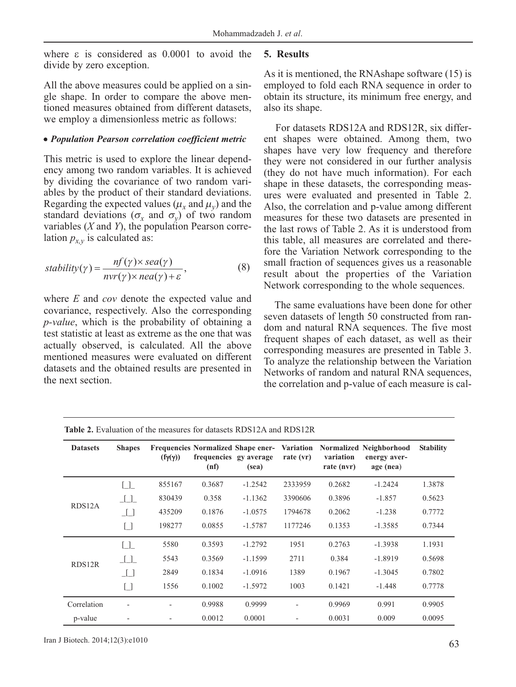where ε is considered as 0.0001 to avoid the divide by zero exception.

All the above measures could be applied on a single shape. In order to compare the above mentioned measures obtained from different datasets, we employ a dimensionless metric as follows:

### • *Population Pearson correlation coefficient metric*

This metric is used to explore the linear dependency among two random variables. It is achieved by dividing the covariance of two random variables by the product of their standard deviations. Regarding the expected values ( $\mu_x$  and  $\mu_y$ ) and the standard deviations ( $\sigma_x$  and  $\sigma_y$ ) of two random variables (*X* and *Y*), the population Pearson correlation  $p_{x,y}$  is calculated as:

$$
stability(\gamma) = \frac{nf(\gamma) \times sea(\gamma)}{nvr(\gamma) \times nea(\gamma) + \varepsilon},
$$
\n(8)

where *E* and *cov* denote the expected value and covariance, respectively. Also the corresponding *p-value*, which is the probability of obtaining a test statistic at least as extreme as the one that was actually observed, is calculated. All the above mentioned measures were evaluated on different datasets and the obtained results are presented in the next section.

### **5. Results**

As it is mentioned, the RNAshape software (15) is employed to fold each RNA sequence in order to obtain its structure, its minimum free energy, and also its shape.

For datasets RDS12A and RDS12R, six different shapes were obtained. Among them, two shapes have very low frequency and therefore they were not considered in our further analysis (they do not have much information). For each shape in these datasets, the corresponding measures were evaluated and presented in Table 2. Also, the correlation and p-value among different measures for these two datasets are presented in the last rows of Table 2. As it is understood from this table, all measures are correlated and therefore the Variation Network corresponding to the small fraction of sequences gives us a reasonable result about the properties of the Variation Network corresponding to the whole sequences.

The same evaluations have been done for other seven datasets of length 50 constructed from random and natural RNA sequences. The five most frequent shapes of each dataset, as well as their corresponding measures are presented in Table 3. To analyze the relationship between the Variation Networks of random and natural RNA sequences, the correlation and p-value of each measure is cal-

| <b>Datasets</b>     | <b>Shapes</b>            | $(f\gamma(\gamma))$ | <b>Frequencies Normalized Shape ener-</b><br>frequencies gy average<br>(nf) | (sea)     | <b>Variation</b><br>rate $(vr)$ | variation<br>rate (nvr) | Normalized Neighborhood<br>energy aver-<br>age (nea) | <b>Stability</b> |
|---------------------|--------------------------|---------------------|-----------------------------------------------------------------------------|-----------|---------------------------------|-------------------------|------------------------------------------------------|------------------|
|                     | $\Box$                   | 855167              | 0.3687                                                                      | $-1.2542$ | 2333959                         | 0.2682                  | $-1.2424$                                            | 1.3878           |
| RDS <sub>12</sub> A | $\_$ $\_$ $\_$           | 830439              | 0.358                                                                       | $-1.1362$ | 3390606                         | 0.3896                  | $-1.857$                                             | 0.5623           |
|                     | $\perp$                  | 435209              | 0.1876                                                                      | $-1.0575$ | 1794678                         | 0.2062                  | $-1.238$                                             | 0.7772           |
|                     | Γl                       | 198277              | 0.0855                                                                      | $-1.5787$ | 1177246                         | 0.1353                  | $-1.3585$                                            | 0.7344           |
|                     | $\Box$                   | 5580                | 0.3593                                                                      | $-1.2792$ | 1951                            | 0.2763                  | $-1.3938$                                            | 1.1931           |
| RDS12R              | $\Box$                   | 5543                | 0.3569                                                                      | $-1.1599$ | 2711                            | 0.384                   | $-1.8919$                                            | 0.5698           |
|                     | $\Box$                   | 2849                | 0.1834                                                                      | $-1.0916$ | 1389                            | 0.1967                  | $-1.3045$                                            | 0.7802           |
|                     | ן ז                      | 1556                | 0.1002                                                                      | $-1.5972$ | 1003                            | 0.1421                  | $-1.448$                                             | 0.7778           |
| Correlation         | $\overline{\phantom{a}}$ |                     | 0.9988                                                                      | 0.9999    | $\overline{\phantom{a}}$        | 0.9969                  | 0.991                                                | 0.9905           |
| p-value             |                          |                     | 0.0012                                                                      | 0.0001    |                                 | 0.0031                  | 0.009                                                | 0.0095           |

**Table 2.** Evaluation of the measures for datasets RDS12A and RDS12R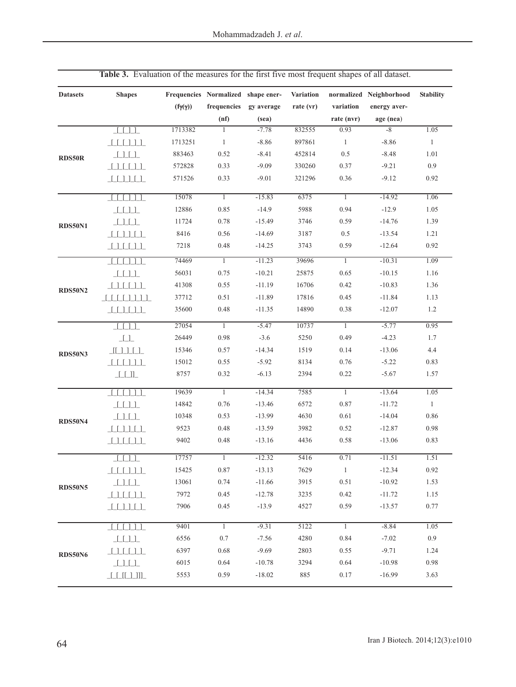| frequencies<br>variation<br>$(f\gamma(\gamma))$<br>rate (vr)<br>energy aver-<br>gy average<br>(nf)<br>(sea)<br>rate (nvr)<br>age (nea)<br>1713382<br>$-7.78$<br>832555<br>0.93<br>$-8$<br>$\mathbf{1}$<br>11<br>$\mathbf{1}$<br>1713251<br>$-8.86$<br>897861<br>$\mathbf{1}$<br>$-8.86$<br>0.5<br>883463<br>0.52<br>$-8.41$<br>452814<br>$-8.48$<br><b>RDS50R</b><br>572828<br>0.33<br>$-9.09$<br>330260<br>0.37<br>$-9.21$<br>0.33<br>$-9.01$<br>0.36<br>$-9.12$<br>571526<br>321296<br>15078<br>$\overline{1}$<br>$-15.83$<br>6375<br>$\overline{1}$<br>$-14.92$<br>0.85<br>0.94<br>12886<br>$-14.9$<br>5988<br>$-12.9$<br>11724<br>0.78<br>$-15.49$<br>3746<br>0.59<br>$-14.76$<br>8416<br>0.56<br>3187<br>0.5<br>$-14.69$<br>$-13.54$<br>0.48<br>0.59<br>7218<br>$-14.25$<br>3743<br>$-12.64$<br>74469<br>$\overline{1}$<br>$-11.23$<br>39696<br>$\overline{1}$<br>$-10.31$<br>$\begin{tabular}{ c c c } \hline & \multicolumn{1}{ c }{\textbf{}} & \multicolumn{1}{ c }{\textbf{}} \\ \hline \end{tabular}$<br>56031<br>0.75<br>$-10.21$<br>25875<br>0.65<br>$-10.15$<br>41308<br>0.55<br>$-11.19$<br>16706<br>0.42<br>$-10.83$<br>0.51<br>17816<br>0.45<br>37712<br>$-11.89$<br>$-11.84$<br>35600<br>0.48<br>14890<br>0.38<br>$-12.07$<br>$-11.35$<br>27054<br>$-5.47$<br>10737<br>$-5.77$<br>$\mathbf{1}$<br>$\mathbf{1}$<br>$\lceil \lceil \rceil \rceil$<br>$-4.23$<br>$\boxed{\underline{\qquad \qquad }}$<br>26449<br>0.98<br>$-3.6$<br>5250<br>0.49<br>$-14.34$<br>1519<br>0.14<br>$-13.06$<br>15346<br>0.57<br><b>RDS50N3</b><br>15012<br>0.55<br>$-5.92$<br>8134<br>0.76<br>$-5.22$<br>8757<br>0.32<br>$-6.13$<br>2394<br>0.22<br>$-5.67$<br>$\begin{tabular}{ c c } \hline & \multicolumn{1}{ c }{\textbf{L}} & \multicolumn{1}{ c }{\textbf{L}} \\ \hline \multicolumn{1}{ c }{\textbf{L}} & \multicolumn{1}{ c }{\textbf{L}} & \multicolumn{1}{ c }{\textbf{L}} \\ \hline \multicolumn{1}{ c }{\textbf{L}} & \multicolumn{1}{ c }{\textbf{L}} & \multicolumn{1}{ c }{\textbf{L}} \\ \hline \multicolumn{1}{ c }{\textbf{L}} & \multicolumn{1}{ c }{\textbf{L}} & \multicolumn{1}{ c }{\textbf{$<br>19639<br>$\overline{1}$<br>$-14.34$<br>7585<br>$\overline{1}$<br>$-13.64$<br>14842<br>0.76<br>$-13.46$<br>6572<br>0.87<br>$-11.72$<br>0.61<br>10348<br>0.53<br>$-13.99$<br>4630<br>$-14.04$<br>9523<br>0.48<br>3982<br>0.52 | 1.05<br>$\mathbf{1}$<br>1.01<br>0.9<br>0.92<br>1.06<br>1.05<br>1.39<br>1.21<br>0.92<br>1.09<br>1.16<br>1.36 |
|-------------------------------------------------------------------------------------------------------------------------------------------------------------------------------------------------------------------------------------------------------------------------------------------------------------------------------------------------------------------------------------------------------------------------------------------------------------------------------------------------------------------------------------------------------------------------------------------------------------------------------------------------------------------------------------------------------------------------------------------------------------------------------------------------------------------------------------------------------------------------------------------------------------------------------------------------------------------------------------------------------------------------------------------------------------------------------------------------------------------------------------------------------------------------------------------------------------------------------------------------------------------------------------------------------------------------------------------------------------------------------------------------------------------------------------------------------------------------------------------------------------------------------------------------------------------------------------------------------------------------------------------------------------------------------------------------------------------------------------------------------------------------------------------------------------------------------------------------------------------------------------------------------------------------------------------------------------------------------------------------------------------------------------------------------------------------------------------------------------------------------------------------------------------------------------------------------------------------------------------------------------------------------------------------------------------------------------------------|-------------------------------------------------------------------------------------------------------------|
| <b>RDS50N1</b><br><b>RDS50N2</b><br><b>RDS50N4</b>                                                                                                                                                                                                                                                                                                                                                                                                                                                                                                                                                                                                                                                                                                                                                                                                                                                                                                                                                                                                                                                                                                                                                                                                                                                                                                                                                                                                                                                                                                                                                                                                                                                                                                                                                                                                                                                                                                                                                                                                                                                                                                                                                                                                                                                                                              |                                                                                                             |
|                                                                                                                                                                                                                                                                                                                                                                                                                                                                                                                                                                                                                                                                                                                                                                                                                                                                                                                                                                                                                                                                                                                                                                                                                                                                                                                                                                                                                                                                                                                                                                                                                                                                                                                                                                                                                                                                                                                                                                                                                                                                                                                                                                                                                                                                                                                                                 |                                                                                                             |
|                                                                                                                                                                                                                                                                                                                                                                                                                                                                                                                                                                                                                                                                                                                                                                                                                                                                                                                                                                                                                                                                                                                                                                                                                                                                                                                                                                                                                                                                                                                                                                                                                                                                                                                                                                                                                                                                                                                                                                                                                                                                                                                                                                                                                                                                                                                                                 |                                                                                                             |
|                                                                                                                                                                                                                                                                                                                                                                                                                                                                                                                                                                                                                                                                                                                                                                                                                                                                                                                                                                                                                                                                                                                                                                                                                                                                                                                                                                                                                                                                                                                                                                                                                                                                                                                                                                                                                                                                                                                                                                                                                                                                                                                                                                                                                                                                                                                                                 |                                                                                                             |
|                                                                                                                                                                                                                                                                                                                                                                                                                                                                                                                                                                                                                                                                                                                                                                                                                                                                                                                                                                                                                                                                                                                                                                                                                                                                                                                                                                                                                                                                                                                                                                                                                                                                                                                                                                                                                                                                                                                                                                                                                                                                                                                                                                                                                                                                                                                                                 |                                                                                                             |
|                                                                                                                                                                                                                                                                                                                                                                                                                                                                                                                                                                                                                                                                                                                                                                                                                                                                                                                                                                                                                                                                                                                                                                                                                                                                                                                                                                                                                                                                                                                                                                                                                                                                                                                                                                                                                                                                                                                                                                                                                                                                                                                                                                                                                                                                                                                                                 |                                                                                                             |
|                                                                                                                                                                                                                                                                                                                                                                                                                                                                                                                                                                                                                                                                                                                                                                                                                                                                                                                                                                                                                                                                                                                                                                                                                                                                                                                                                                                                                                                                                                                                                                                                                                                                                                                                                                                                                                                                                                                                                                                                                                                                                                                                                                                                                                                                                                                                                 |                                                                                                             |
|                                                                                                                                                                                                                                                                                                                                                                                                                                                                                                                                                                                                                                                                                                                                                                                                                                                                                                                                                                                                                                                                                                                                                                                                                                                                                                                                                                                                                                                                                                                                                                                                                                                                                                                                                                                                                                                                                                                                                                                                                                                                                                                                                                                                                                                                                                                                                 |                                                                                                             |
|                                                                                                                                                                                                                                                                                                                                                                                                                                                                                                                                                                                                                                                                                                                                                                                                                                                                                                                                                                                                                                                                                                                                                                                                                                                                                                                                                                                                                                                                                                                                                                                                                                                                                                                                                                                                                                                                                                                                                                                                                                                                                                                                                                                                                                                                                                                                                 |                                                                                                             |
|                                                                                                                                                                                                                                                                                                                                                                                                                                                                                                                                                                                                                                                                                                                                                                                                                                                                                                                                                                                                                                                                                                                                                                                                                                                                                                                                                                                                                                                                                                                                                                                                                                                                                                                                                                                                                                                                                                                                                                                                                                                                                                                                                                                                                                                                                                                                                 |                                                                                                             |
|                                                                                                                                                                                                                                                                                                                                                                                                                                                                                                                                                                                                                                                                                                                                                                                                                                                                                                                                                                                                                                                                                                                                                                                                                                                                                                                                                                                                                                                                                                                                                                                                                                                                                                                                                                                                                                                                                                                                                                                                                                                                                                                                                                                                                                                                                                                                                 |                                                                                                             |
|                                                                                                                                                                                                                                                                                                                                                                                                                                                                                                                                                                                                                                                                                                                                                                                                                                                                                                                                                                                                                                                                                                                                                                                                                                                                                                                                                                                                                                                                                                                                                                                                                                                                                                                                                                                                                                                                                                                                                                                                                                                                                                                                                                                                                                                                                                                                                 |                                                                                                             |
|                                                                                                                                                                                                                                                                                                                                                                                                                                                                                                                                                                                                                                                                                                                                                                                                                                                                                                                                                                                                                                                                                                                                                                                                                                                                                                                                                                                                                                                                                                                                                                                                                                                                                                                                                                                                                                                                                                                                                                                                                                                                                                                                                                                                                                                                                                                                                 |                                                                                                             |
|                                                                                                                                                                                                                                                                                                                                                                                                                                                                                                                                                                                                                                                                                                                                                                                                                                                                                                                                                                                                                                                                                                                                                                                                                                                                                                                                                                                                                                                                                                                                                                                                                                                                                                                                                                                                                                                                                                                                                                                                                                                                                                                                                                                                                                                                                                                                                 |                                                                                                             |
|                                                                                                                                                                                                                                                                                                                                                                                                                                                                                                                                                                                                                                                                                                                                                                                                                                                                                                                                                                                                                                                                                                                                                                                                                                                                                                                                                                                                                                                                                                                                                                                                                                                                                                                                                                                                                                                                                                                                                                                                                                                                                                                                                                                                                                                                                                                                                 |                                                                                                             |
|                                                                                                                                                                                                                                                                                                                                                                                                                                                                                                                                                                                                                                                                                                                                                                                                                                                                                                                                                                                                                                                                                                                                                                                                                                                                                                                                                                                                                                                                                                                                                                                                                                                                                                                                                                                                                                                                                                                                                                                                                                                                                                                                                                                                                                                                                                                                                 | 1.13                                                                                                        |
|                                                                                                                                                                                                                                                                                                                                                                                                                                                                                                                                                                                                                                                                                                                                                                                                                                                                                                                                                                                                                                                                                                                                                                                                                                                                                                                                                                                                                                                                                                                                                                                                                                                                                                                                                                                                                                                                                                                                                                                                                                                                                                                                                                                                                                                                                                                                                 | 1.2                                                                                                         |
|                                                                                                                                                                                                                                                                                                                                                                                                                                                                                                                                                                                                                                                                                                                                                                                                                                                                                                                                                                                                                                                                                                                                                                                                                                                                                                                                                                                                                                                                                                                                                                                                                                                                                                                                                                                                                                                                                                                                                                                                                                                                                                                                                                                                                                                                                                                                                 | 0.95                                                                                                        |
|                                                                                                                                                                                                                                                                                                                                                                                                                                                                                                                                                                                                                                                                                                                                                                                                                                                                                                                                                                                                                                                                                                                                                                                                                                                                                                                                                                                                                                                                                                                                                                                                                                                                                                                                                                                                                                                                                                                                                                                                                                                                                                                                                                                                                                                                                                                                                 | 1.7                                                                                                         |
|                                                                                                                                                                                                                                                                                                                                                                                                                                                                                                                                                                                                                                                                                                                                                                                                                                                                                                                                                                                                                                                                                                                                                                                                                                                                                                                                                                                                                                                                                                                                                                                                                                                                                                                                                                                                                                                                                                                                                                                                                                                                                                                                                                                                                                                                                                                                                 | 4.4                                                                                                         |
|                                                                                                                                                                                                                                                                                                                                                                                                                                                                                                                                                                                                                                                                                                                                                                                                                                                                                                                                                                                                                                                                                                                                                                                                                                                                                                                                                                                                                                                                                                                                                                                                                                                                                                                                                                                                                                                                                                                                                                                                                                                                                                                                                                                                                                                                                                                                                 | 0.83                                                                                                        |
|                                                                                                                                                                                                                                                                                                                                                                                                                                                                                                                                                                                                                                                                                                                                                                                                                                                                                                                                                                                                                                                                                                                                                                                                                                                                                                                                                                                                                                                                                                                                                                                                                                                                                                                                                                                                                                                                                                                                                                                                                                                                                                                                                                                                                                                                                                                                                 | 1.57                                                                                                        |
|                                                                                                                                                                                                                                                                                                                                                                                                                                                                                                                                                                                                                                                                                                                                                                                                                                                                                                                                                                                                                                                                                                                                                                                                                                                                                                                                                                                                                                                                                                                                                                                                                                                                                                                                                                                                                                                                                                                                                                                                                                                                                                                                                                                                                                                                                                                                                 | 1.05                                                                                                        |
|                                                                                                                                                                                                                                                                                                                                                                                                                                                                                                                                                                                                                                                                                                                                                                                                                                                                                                                                                                                                                                                                                                                                                                                                                                                                                                                                                                                                                                                                                                                                                                                                                                                                                                                                                                                                                                                                                                                                                                                                                                                                                                                                                                                                                                                                                                                                                 | $\mathbf{1}$                                                                                                |
|                                                                                                                                                                                                                                                                                                                                                                                                                                                                                                                                                                                                                                                                                                                                                                                                                                                                                                                                                                                                                                                                                                                                                                                                                                                                                                                                                                                                                                                                                                                                                                                                                                                                                                                                                                                                                                                                                                                                                                                                                                                                                                                                                                                                                                                                                                                                                 | 0.86                                                                                                        |
| $-13.59$<br>$-12.87$                                                                                                                                                                                                                                                                                                                                                                                                                                                                                                                                                                                                                                                                                                                                                                                                                                                                                                                                                                                                                                                                                                                                                                                                                                                                                                                                                                                                                                                                                                                                                                                                                                                                                                                                                                                                                                                                                                                                                                                                                                                                                                                                                                                                                                                                                                                            | 0.98                                                                                                        |
| 9402<br>0.48<br>4436<br>0.58<br>$-13.16$<br>$-13.06$                                                                                                                                                                                                                                                                                                                                                                                                                                                                                                                                                                                                                                                                                                                                                                                                                                                                                                                                                                                                                                                                                                                                                                                                                                                                                                                                                                                                                                                                                                                                                                                                                                                                                                                                                                                                                                                                                                                                                                                                                                                                                                                                                                                                                                                                                            | 0.83                                                                                                        |
| 5416<br>17757<br>$-12.32$<br>0.71<br>$-11.51$<br>1                                                                                                                                                                                                                                                                                                                                                                                                                                                                                                                                                                                                                                                                                                                                                                                                                                                                                                                                                                                                                                                                                                                                                                                                                                                                                                                                                                                                                                                                                                                                                                                                                                                                                                                                                                                                                                                                                                                                                                                                                                                                                                                                                                                                                                                                                              | 1.51                                                                                                        |
| 15425<br>$0.87\,$<br>$-13.13$<br>7629<br>$-12.34$<br><sup>1</sup>                                                                                                                                                                                                                                                                                                                                                                                                                                                                                                                                                                                                                                                                                                                                                                                                                                                                                                                                                                                                                                                                                                                                                                                                                                                                                                                                                                                                                                                                                                                                                                                                                                                                                                                                                                                                                                                                                                                                                                                                                                                                                                                                                                                                                                                                               | $0.92\,$                                                                                                    |
| 0.74<br>3915<br>0.51<br>13061<br>$-11.66$<br>$-10.92$<br><b>RDS50N5</b>                                                                                                                                                                                                                                                                                                                                                                                                                                                                                                                                                                                                                                                                                                                                                                                                                                                                                                                                                                                                                                                                                                                                                                                                                                                                                                                                                                                                                                                                                                                                                                                                                                                                                                                                                                                                                                                                                                                                                                                                                                                                                                                                                                                                                                                                         | 1.53                                                                                                        |
| 0.45<br>0.42<br>7972<br>$-12.78$<br>3235<br>$-11.72$                                                                                                                                                                                                                                                                                                                                                                                                                                                                                                                                                                                                                                                                                                                                                                                                                                                                                                                                                                                                                                                                                                                                                                                                                                                                                                                                                                                                                                                                                                                                                                                                                                                                                                                                                                                                                                                                                                                                                                                                                                                                                                                                                                                                                                                                                            | 1.15                                                                                                        |
| 7906<br>0.45<br>$-13.9$<br>4527<br>0.59<br>$-13.57$                                                                                                                                                                                                                                                                                                                                                                                                                                                                                                                                                                                                                                                                                                                                                                                                                                                                                                                                                                                                                                                                                                                                                                                                                                                                                                                                                                                                                                                                                                                                                                                                                                                                                                                                                                                                                                                                                                                                                                                                                                                                                                                                                                                                                                                                                             | 0.77                                                                                                        |
| 9401<br>$\overline{1}$<br>$-9.31$<br>5122<br>$\overline{1}$<br>$-8.84$                                                                                                                                                                                                                                                                                                                                                                                                                                                                                                                                                                                                                                                                                                                                                                                                                                                                                                                                                                                                                                                                                                                                                                                                                                                                                                                                                                                                                                                                                                                                                                                                                                                                                                                                                                                                                                                                                                                                                                                                                                                                                                                                                                                                                                                                          | 1.05                                                                                                        |
| 6556<br>0.7<br>$-7.56$<br>4280<br>0.84<br>$-7.02$                                                                                                                                                                                                                                                                                                                                                                                                                                                                                                                                                                                                                                                                                                                                                                                                                                                                                                                                                                                                                                                                                                                                                                                                                                                                                                                                                                                                                                                                                                                                                                                                                                                                                                                                                                                                                                                                                                                                                                                                                                                                                                                                                                                                                                                                                               | 0.9                                                                                                         |
| 6397<br>0.68<br>$-9.69$<br>2803<br>0.55<br>$-9.71$<br><b>RDS50N6</b>                                                                                                                                                                                                                                                                                                                                                                                                                                                                                                                                                                                                                                                                                                                                                                                                                                                                                                                                                                                                                                                                                                                                                                                                                                                                                                                                                                                                                                                                                                                                                                                                                                                                                                                                                                                                                                                                                                                                                                                                                                                                                                                                                                                                                                                                            | 1.24                                                                                                        |
| 6015<br>0.64<br>3294<br>0.64<br>$-10.98$<br>$-10.78$                                                                                                                                                                                                                                                                                                                                                                                                                                                                                                                                                                                                                                                                                                                                                                                                                                                                                                                                                                                                                                                                                                                                                                                                                                                                                                                                                                                                                                                                                                                                                                                                                                                                                                                                                                                                                                                                                                                                                                                                                                                                                                                                                                                                                                                                                            | 0.98                                                                                                        |
| 5553<br>0.59<br>$-18.02$<br>885<br>0.17<br>$-16.99$<br>$\begin{tabular}{c} \hline \rule[1mm]{1mm}{6mm} \rule[1mm]{1mm}{6mm} \end{tabular} \begin{tabular}{c} \rule[1mm]{1mm}{6mm} \rule[1mm]{1mm}{6mm} \end{tabular} \begin{tabular}{c} \rule[1mm]{1mm}{6mm} \rule[1mm]{1mm}{6mm} \rule[1mm]{1mm}{6mm} \end{tabular} \begin{tabular}{c} \rule[1mm]{1mm}{6mm} \rule[1mm]{1mm}{6mm} \rule[1mm]{1mm}{6mm} \end{tabular} \end{tabular} \begin{tabular}{c} \rule[1mm]{1mm}{6mm} \rule[1mm]{1mm}{6mm} \rule[$                                                                                                                                                                                                                                                                                                                                                                                                                                                                                                                                                                                                                                                                                                                                                                                                                                                                                                                                                                                                                                                                                                                                                                                                                                                                                                                                                                                                                                                                                                                                                                                                                                                                                                                                                                                                                                         | 3.63                                                                                                        |

**Table 3.** Evaluation of the measures for the first five most frequent shapes of all dataset.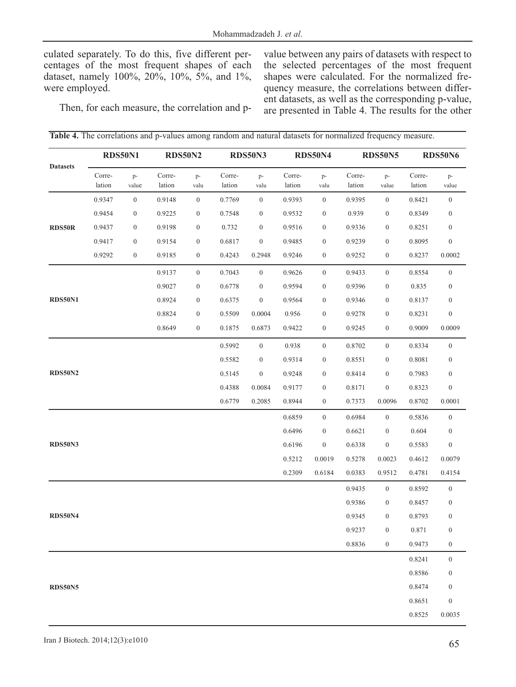culated separately. To do this, five different percentages of the most frequent shapes of each dataset, namely 100%, 20%, 10%, 5%, and 1%, were employed.

value between any pairs of datasets with respect to the selected percentages of the most frequent shapes were calculated. For the normalized frequency measure, the correlations between different datasets, as well as the corresponding p-value, are presented in Table 4. The results for the other

Then, for each measure, the correlation and p-

|                 | <b>RDS50N1</b>   |                  | <b>RDS50N2</b>   |                  | <b>RDS50N3</b>   |                  | <b>RDS50N4</b>   |                  | <b>RDS50N5</b>   |                  | <b>RDS50N6</b>   |                  |
|-----------------|------------------|------------------|------------------|------------------|------------------|------------------|------------------|------------------|------------------|------------------|------------------|------------------|
| <b>Datasets</b> | Corre-<br>lation | p-<br>value      | Corre-<br>lation | $p-$<br>valu     | Corre-<br>lation | p-<br>valu       | Corre-<br>lation | p-<br>valu       | Corre-<br>lation | $p-$<br>value    | Corre-<br>lation | $p-$<br>value    |
|                 | 0.9347           | $\boldsymbol{0}$ | 0.9148           | $\boldsymbol{0}$ | 0.7769           | $\boldsymbol{0}$ | 0.9393           | $\boldsymbol{0}$ | 0.9395           | $\boldsymbol{0}$ | 0.8421           | $\mathbf{0}$     |
|                 | 0.9454           | $\boldsymbol{0}$ | 0.9225           | $\boldsymbol{0}$ | 0.7548           | $\boldsymbol{0}$ | 0.9532           | $\boldsymbol{0}$ | 0.939            | $\boldsymbol{0}$ | 0.8349           | $\boldsymbol{0}$ |
| RDS50R          | 0.9437           | $\boldsymbol{0}$ | 0.9198           | $\boldsymbol{0}$ | 0.732            | $\boldsymbol{0}$ | 0.9516           | $\boldsymbol{0}$ | 0.9336           | $\boldsymbol{0}$ | 0.8251           | $\boldsymbol{0}$ |
|                 | 0.9417           | $\boldsymbol{0}$ | 0.9154           | $\boldsymbol{0}$ | 0.6817           | $\boldsymbol{0}$ | 0.9485           | $\boldsymbol{0}$ | 0.9239           | $\boldsymbol{0}$ | 0.8095           | $\boldsymbol{0}$ |
|                 | 0.9292           | $\boldsymbol{0}$ | 0.9185           | $\boldsymbol{0}$ | 0.4243           | 0.2948           | 0.9246           | $\boldsymbol{0}$ | 0.9252           | $\boldsymbol{0}$ | 0.8237           | 0.0002           |
|                 |                  |                  | 0.9137           | $\boldsymbol{0}$ | 0.7043           | $\boldsymbol{0}$ | 0.9626           | $\boldsymbol{0}$ | 0.9433           | $\boldsymbol{0}$ | 0.8554           | $\mathbf{0}$     |
|                 |                  |                  | 0.9027           | $\boldsymbol{0}$ | 0.6778           | $\boldsymbol{0}$ | 0.9594           | $\boldsymbol{0}$ | 0.9396           | $\boldsymbol{0}$ | 0.835            | $\boldsymbol{0}$ |
| <b>RDS50N1</b>  |                  |                  | 0.8924           | $\boldsymbol{0}$ | 0.6375           | $\boldsymbol{0}$ | 0.9564           | $\boldsymbol{0}$ | 0.9346           | $\boldsymbol{0}$ | 0.8137           | $\boldsymbol{0}$ |
|                 |                  |                  | 0.8824           | $\boldsymbol{0}$ | 0.5509           | 0.0004           | 0.956            | $\boldsymbol{0}$ | 0.9278           | $\boldsymbol{0}$ | 0.8231           | $\boldsymbol{0}$ |
|                 |                  |                  | 0.8649           | $\boldsymbol{0}$ | 0.1875           | 0.6873           | 0.9422           | $\boldsymbol{0}$ | 0.9245           | $\boldsymbol{0}$ | 0.9009           | 0.0009           |
|                 |                  |                  |                  |                  | 0.5992           | $\boldsymbol{0}$ | 0.938            | $\boldsymbol{0}$ | 0.8702           | $\boldsymbol{0}$ | 0.8334           | $\mathbf{0}$     |
|                 |                  |                  |                  |                  | 0.5582           | $\boldsymbol{0}$ | 0.9314           | $\boldsymbol{0}$ | 0.8551           | $\boldsymbol{0}$ | 0.8081           | $\boldsymbol{0}$ |
| <b>RDS50N2</b>  |                  |                  |                  |                  | 0.5145           | $\boldsymbol{0}$ | 0.9248           | $\boldsymbol{0}$ | 0.8414           | $\boldsymbol{0}$ | 0.7983           | $\boldsymbol{0}$ |
|                 |                  |                  |                  |                  | 0.4388           | 0.0084           | 0.9177           | $\boldsymbol{0}$ | 0.8171           | $\boldsymbol{0}$ | 0.8323           | $\boldsymbol{0}$ |
|                 |                  |                  |                  |                  | 0.6779           | 0.2085           | 0.8944           | $\boldsymbol{0}$ | 0.7373           | 0.0096           | 0.8702           | 0.0001           |
|                 |                  |                  |                  |                  |                  |                  | 0.6859           | $\mathbf{0}$     | 0.6984           | $\boldsymbol{0}$ | 0.5836           | $\mathbf{0}$     |
|                 |                  |                  |                  |                  |                  |                  | 0.6496           | $\boldsymbol{0}$ | 0.6621           | $\boldsymbol{0}$ | 0.604            | $\boldsymbol{0}$ |
| <b>RDS50N3</b>  |                  |                  |                  |                  |                  |                  | 0.6196           | $\boldsymbol{0}$ | 0.6338           | $\boldsymbol{0}$ | 0.5583           | $\boldsymbol{0}$ |
|                 |                  |                  |                  |                  |                  |                  | 0.5212           | 0.0019           | 0.5278           | 0.0023           | 0.4612           | 0.0079           |
|                 |                  |                  |                  |                  |                  |                  | 0.2309           | 0.6184           | 0.0383           | 0.9512           | 0.4781           | 0.4154           |
|                 |                  |                  |                  |                  |                  |                  |                  |                  | 0.9435           | $\boldsymbol{0}$ | 0.8592           | $\mathbf{0}$     |
|                 |                  |                  |                  |                  |                  |                  |                  |                  | 0.9386           | $\boldsymbol{0}$ | 0.8457           | $\boldsymbol{0}$ |
| <b>RDS50N4</b>  |                  |                  |                  |                  |                  |                  |                  |                  | 0.9345           | $\boldsymbol{0}$ | 0.8793           | $\boldsymbol{0}$ |
|                 |                  |                  |                  |                  |                  |                  |                  |                  | 0.9237           | $\overline{0}$   | 0.871            | $\overline{0}$   |
|                 |                  |                  |                  |                  |                  |                  |                  |                  | 0.8836           | $\boldsymbol{0}$ | 0.9473           | $\boldsymbol{0}$ |
|                 |                  |                  |                  |                  |                  |                  |                  |                  |                  |                  | 0.8241           | $\boldsymbol{0}$ |
|                 |                  |                  |                  |                  |                  |                  |                  |                  |                  |                  | 0.8586           | $\boldsymbol{0}$ |
| <b>RDS50N5</b>  |                  |                  |                  |                  |                  |                  |                  |                  |                  |                  | 0.8474           | $\boldsymbol{0}$ |
|                 |                  |                  |                  |                  |                  |                  |                  |                  |                  |                  | 0.8651           | $\boldsymbol{0}$ |
|                 |                  |                  |                  |                  |                  |                  |                  |                  |                  |                  | 0.8525           | 0.0035           |

**Table 4.** The correlations and p-values among random and natural datasets for normalized frequency measure.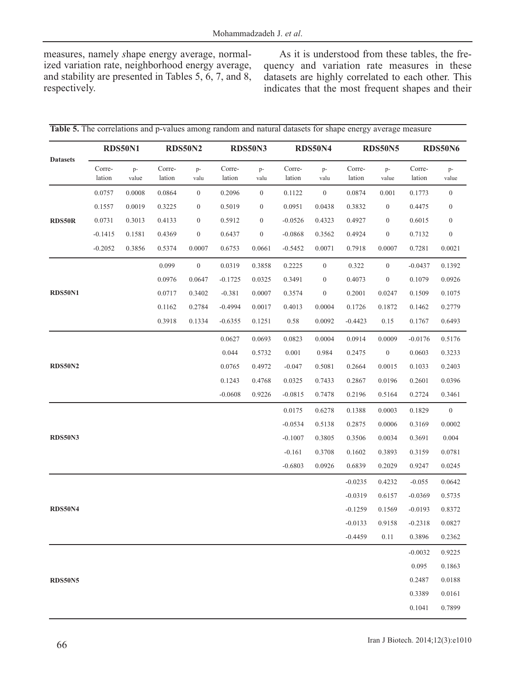measures, namely *s*hape energy average, normalized variation rate, neighborhood energy average, and stability are presented in Tables 5, 6, 7, and 8, respectively.

As it is understood from these tables, the frequency and variation rate measures in these datasets are highly correlated to each other. This indicates that the most frequent shapes and their

|                 | <b>RDS50N1</b>   |             | <b>RDS50N2</b>   |                  |                  | <b>RDS50N3</b>   |                  | <b>RDS50N4</b>   |                  | <b>RDS50N5</b>   | <b>RDS50N6</b>   |                  |
|-----------------|------------------|-------------|------------------|------------------|------------------|------------------|------------------|------------------|------------------|------------------|------------------|------------------|
| <b>Datasets</b> | Corre-<br>lation | p-<br>value | Corre-<br>lation | $p-$<br>valu     | Corre-<br>lation | p-<br>valu       | Corre-<br>lation | $p-$<br>valu     | Corre-<br>lation | p-<br>value      | Corre-<br>lation | p-<br>value      |
|                 | 0.0757           | 0.0008      | 0.0864           | $\boldsymbol{0}$ | 0.2096           | $\boldsymbol{0}$ | 0.1122           | $\mathbf{0}$     | 0.0874           | 0.001            | 0.1773           | $\boldsymbol{0}$ |
|                 | 0.1557           | 0.0019      | 0.3225           | $\boldsymbol{0}$ | 0.5019           | $\boldsymbol{0}$ | 0.0951           | 0.0438           | 0.3832           | $\boldsymbol{0}$ | 0.4475           | $\overline{0}$   |
| <b>RDS50R</b>   | 0.0731           | 0.3013      | 0.4133           | $\boldsymbol{0}$ | 0.5912           | $\boldsymbol{0}$ | $-0.0526$        | 0.4323           | 0.4927           | $\boldsymbol{0}$ | 0.6015           | $\mathbf{0}$     |
|                 | $-0.1415$        | 0.1581      | 0.4369           | $\boldsymbol{0}$ | 0.6437           | $\boldsymbol{0}$ | $-0.0868$        | 0.3562           | 0.4924           | $\boldsymbol{0}$ | 0.7132           | $\mathbf{0}$     |
|                 | $-0.2052$        | 0.3856      | 0.5374           | 0.0007           | 0.6753           | 0.0661           | $-0.5452$        | 0.0071           | 0.7918           | 0.0007           | 0.7281           | 0.0021           |
|                 |                  |             | 0.099            | $\boldsymbol{0}$ | 0.0319           | 0.3858           | 0.2225           | $\boldsymbol{0}$ | 0.322            | $\boldsymbol{0}$ | $-0.0437$        | 0.1392           |
|                 |                  |             | 0.0976           | 0.0647           | $-0.1725$        | 0.0325           | 0.3491           | $\boldsymbol{0}$ | 0.4073           | $\boldsymbol{0}$ | 0.1079           | 0.0926           |
| <b>RDS50N1</b>  |                  |             | 0.0717           | 0.3402           | $-0.381$         | 0.0007           | 0.3574           | $\boldsymbol{0}$ | 0.2001           | 0.0247           | 0.1509           | 0.1075           |
|                 |                  |             | 0.1162           | 0.2784           | $-0.4994$        | 0.0017           | 0.4013           | 0.0004           | 0.1726           | 0.1872           | 0.1462           | 0.2779           |
|                 |                  |             | 0.3918           | 0.1334           | $-0.6355$        | 0.1251           | 0.58             | 0.0092           | $-0.4423$        | 0.15             | 0.1767           | 0.6493           |
|                 |                  |             |                  |                  | 0.0627           | 0.0693           | 0.0823           | 0.0004           | 0.0914           | 0.0009           | $-0.0176$        | 0.5176           |
|                 |                  |             |                  |                  | 0.044            | 0.5732           | 0.001            | 0.984            | 0.2475           | $\boldsymbol{0}$ | 0.0603           | 0.3233           |
| <b>RDS50N2</b>  |                  |             |                  |                  | 0.0765           | 0.4972           | $-0.047$         | 0.5081           | 0.2664           | 0.0015           | 0.1033           | 0.2403           |
|                 |                  |             |                  |                  | 0.1243           | 0.4768           | 0.0325           | 0.7433           | 0.2867           | 0.0196           | 0.2601           | 0.0396           |
|                 |                  |             |                  |                  | $-0.0608$        | 0.9226           | $-0.0815$        | 0.7478           | 0.2196           | 0.5164           | 0.2724           | 0.3461           |
|                 |                  |             |                  |                  |                  |                  | 0.0175           | 0.6278           | 0.1388           | 0.0003           | 0.1829           | $\boldsymbol{0}$ |
|                 |                  |             |                  |                  |                  |                  | $-0.0534$        | 0.5138           | 0.2875           | 0.0006           | 0.3169           | 0.0002           |
| <b>RDS50N3</b>  |                  |             |                  |                  |                  |                  | $-0.1007$        | 0.3805           | 0.3506           | 0.0034           | 0.3691           | 0.004            |
|                 |                  |             |                  |                  |                  |                  | $-0.161$         | 0.3708           | 0.1602           | 0.3893           | 0.3159           | 0.0781           |
|                 |                  |             |                  |                  |                  |                  | $-0.6803$        | 0.0926           | 0.6839           | 0.2029           | 0.9247           | 0.0245           |
|                 |                  |             |                  |                  |                  |                  |                  |                  | $-0.0235$        | 0.4232           | $-0.055$         | 0.0642           |
|                 |                  |             |                  |                  |                  |                  |                  |                  | $-0.0319$        | 0.6157           | $-0.0369$        | 0.5735           |
| <b>RDS50N4</b>  |                  |             |                  |                  |                  |                  |                  |                  | $-0.1259$        | 0.1569           | $-0.0193$        | 0.8372           |
|                 |                  |             |                  |                  |                  |                  |                  |                  | $-0.0133$        | 0.9158           | $-0.2318$        | 0.0827           |
|                 |                  |             |                  |                  |                  |                  |                  |                  | $-0.4459$        | 0.11             | 0.3896           | 0.2362           |
|                 |                  |             |                  |                  |                  |                  |                  |                  |                  |                  | $-0.0032$        | 0.9225           |
|                 |                  |             |                  |                  |                  |                  |                  |                  |                  |                  | 0.095            | 0.1863           |
| <b>RDS50N5</b>  |                  |             |                  |                  |                  |                  |                  |                  |                  |                  | 0.2487           | 0.0188           |
|                 |                  |             |                  |                  |                  |                  |                  |                  |                  |                  | 0.3389           | 0.0161           |
|                 |                  |             |                  |                  |                  |                  |                  |                  |                  |                  | 0.1041           | 0.7899           |

**Table 5.** The correlations and p-values among random and natural datasets for shape energy average measure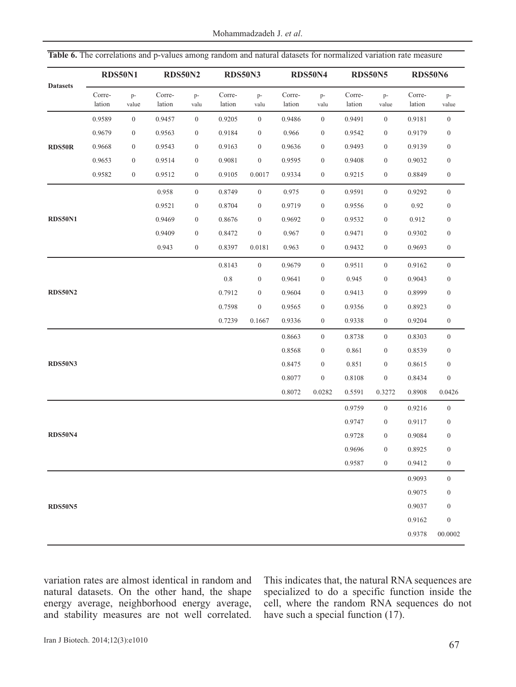Mohammadzadeh J. *et al*.

|                 | <b>RDS50N1</b>   |                  | <b>RDS50N2</b>   |                  | <b>RDS50N3</b>   |                  | <b>RDS50N4</b>   |                  | <b>RDS50N5</b>   |                  | <b>RDS50N6</b>   |                  |
|-----------------|------------------|------------------|------------------|------------------|------------------|------------------|------------------|------------------|------------------|------------------|------------------|------------------|
| <b>Datasets</b> | Corre-<br>lation | p-<br>value      | Corre-<br>lation | p-<br>valu       | Corre-<br>lation | $p-$<br>valu     | Corre-<br>lation | $p-$<br>valu     | Corre-<br>lation | p-<br>value      | Corre-<br>lation | p-<br>value      |
|                 | 0.9589           | $\boldsymbol{0}$ | 0.9457           | $\mathbf{0}$     | 0.9205           | $\mathbf{0}$     | 0.9486           | $\boldsymbol{0}$ | 0.9491           | $\overline{0}$   | 0.9181           | $\boldsymbol{0}$ |
|                 | 0.9679           | $\mathbf{0}$     | 0.9563           | $\boldsymbol{0}$ | 0.9184           | $\boldsymbol{0}$ | 0.966            | $\boldsymbol{0}$ | 0.9542           | $\boldsymbol{0}$ | 0.9179           | $\boldsymbol{0}$ |
| RDS50R          | 0.9668           | $\mathbf{0}$     | 0.9543           | $\mathbf{0}$     | 0.9163           | $\boldsymbol{0}$ | 0.9636           | $\boldsymbol{0}$ | 0.9493           | $\boldsymbol{0}$ | 0.9139           | $\mathbf{0}$     |
|                 | 0.9653           | $\boldsymbol{0}$ | 0.9514           | $\boldsymbol{0}$ | 0.9081           | $\boldsymbol{0}$ | 0.9595           | $\boldsymbol{0}$ | 0.9408           | $\boldsymbol{0}$ | 0.9032           | $\mathbf{0}$     |
|                 | 0.9582           | $\mathbf{0}$     | 0.9512           | $\boldsymbol{0}$ | 0.9105           | 0.0017           | 0.9334           | $\boldsymbol{0}$ | 0.9215           | $\boldsymbol{0}$ | 0.8849           | $\mathbf{0}$     |
|                 |                  |                  | 0.958            | $\boldsymbol{0}$ | 0.8749           | $\boldsymbol{0}$ | 0.975            | $\boldsymbol{0}$ | 0.9591           | $\boldsymbol{0}$ | 0.9292           | $\mathbf{0}$     |
|                 |                  |                  | 0.9521           | $\boldsymbol{0}$ | 0.8704           | $\boldsymbol{0}$ | 0.9719           | $\boldsymbol{0}$ | 0.9556           | $\boldsymbol{0}$ | 0.92             | $\boldsymbol{0}$ |
| <b>RDS50N1</b>  |                  |                  | 0.9469           | $\boldsymbol{0}$ | 0.8676           | $\boldsymbol{0}$ | 0.9692           | $\boldsymbol{0}$ | 0.9532           | $\boldsymbol{0}$ | 0.912            | $\mathbf{0}$     |
|                 |                  |                  | 0.9409           | $\boldsymbol{0}$ | 0.8472           | $\boldsymbol{0}$ | 0.967            | $\boldsymbol{0}$ | 0.9471           | $\boldsymbol{0}$ | 0.9302           | $\boldsymbol{0}$ |
|                 |                  |                  | 0.943            | $\boldsymbol{0}$ | 0.8397           | 0.0181           | 0.963            | $\boldsymbol{0}$ | 0.9432           | $\boldsymbol{0}$ | 0.9693           | $\boldsymbol{0}$ |
|                 |                  |                  |                  |                  | 0.8143           | $\boldsymbol{0}$ | 0.9679           | $\boldsymbol{0}$ | 0.9511           | $\boldsymbol{0}$ | 0.9162           | $\mathbf{0}$     |
|                 |                  |                  |                  |                  | $0.8\,$          | $\boldsymbol{0}$ | 0.9641           | $\boldsymbol{0}$ | 0.945            | $\boldsymbol{0}$ | 0.9043           | $\boldsymbol{0}$ |
| <b>RDS50N2</b>  |                  |                  |                  |                  | 0.7912           | $\boldsymbol{0}$ | 0.9604           | $\boldsymbol{0}$ | 0.9413           | $\boldsymbol{0}$ | 0.8999           | $\boldsymbol{0}$ |
|                 |                  |                  |                  |                  | 0.7598           | $\boldsymbol{0}$ | 0.9565           | $\boldsymbol{0}$ | 0.9356           | $\boldsymbol{0}$ | 0.8923           | $\mathbf{0}$     |
|                 |                  |                  |                  |                  | 0.7239           | 0.1667           | 0.9336           | $\boldsymbol{0}$ | 0.9338           | $\boldsymbol{0}$ | 0.9204           | $\boldsymbol{0}$ |
|                 |                  |                  |                  |                  |                  |                  | 0.8663           | $\mathbf{0}$     | 0.8738           | $\boldsymbol{0}$ | 0.8303           | $\mathbf{0}$     |
|                 |                  |                  |                  |                  |                  |                  | 0.8568           | $\boldsymbol{0}$ | 0.861            | $\boldsymbol{0}$ | 0.8539           | $\mathbf{0}$     |
| <b>RDS50N3</b>  |                  |                  |                  |                  |                  |                  | 0.8475           | $\boldsymbol{0}$ | 0.851            | $\boldsymbol{0}$ | 0.8615           | $\mathbf{0}$     |
|                 |                  |                  |                  |                  |                  |                  | 0.8077           | $\boldsymbol{0}$ | 0.8108           | $\boldsymbol{0}$ | 0.8434           | $\boldsymbol{0}$ |
|                 |                  |                  |                  |                  |                  |                  | 0.8072           | 0.0282           | 0.5591           | 0.3272           | 0.8908           | 0.0426           |
|                 |                  |                  |                  |                  |                  |                  |                  |                  | 0.9759           | $\overline{0}$   | 0.9216           | $\overline{0}$   |
|                 |                  |                  |                  |                  |                  |                  |                  |                  | 0.9747           | $\boldsymbol{0}$ | 0.9117           | $\boldsymbol{0}$ |
| <b>RDS50N4</b>  |                  |                  |                  |                  |                  |                  |                  |                  | 0.9728           | $\boldsymbol{0}$ | 0.9084           | $\boldsymbol{0}$ |
|                 |                  |                  |                  |                  |                  |                  |                  |                  | 0.9696           | $\overline{0}$   | 0.8925           | $\overline{0}$   |
|                 |                  |                  |                  |                  |                  |                  |                  |                  | 0.9587           | $\boldsymbol{0}$ | 0.9412           | $\boldsymbol{0}$ |
|                 |                  |                  |                  |                  |                  |                  |                  |                  |                  |                  | 0.9093           | $\mathbf{0}$     |
|                 |                  |                  |                  |                  |                  |                  |                  |                  |                  |                  | 0.9075           | $\boldsymbol{0}$ |
| <b>RDS50N5</b>  |                  |                  |                  |                  |                  |                  |                  |                  |                  |                  | 0.9037           | $\boldsymbol{0}$ |
|                 |                  |                  |                  |                  |                  |                  |                  |                  |                  |                  | 0.9162           | $\boldsymbol{0}$ |
|                 |                  |                  |                  |                  |                  |                  |                  |                  |                  |                  | 0.9378           | 00.0002          |
|                 |                  |                  |                  |                  |                  |                  |                  |                  |                  |                  |                  |                  |

**Table 6.** The correlations and p-values among random and natural datasets for normalized variation rate measure

variation rates are almost identical in random and natural datasets. On the other hand, the shape energy average, neighborhood energy average, and stability measures are not well correlated. This indicates that, the natural RNA sequences are specialized to do a specific function inside the cell, where the random RNA sequences do not have such a special function (17).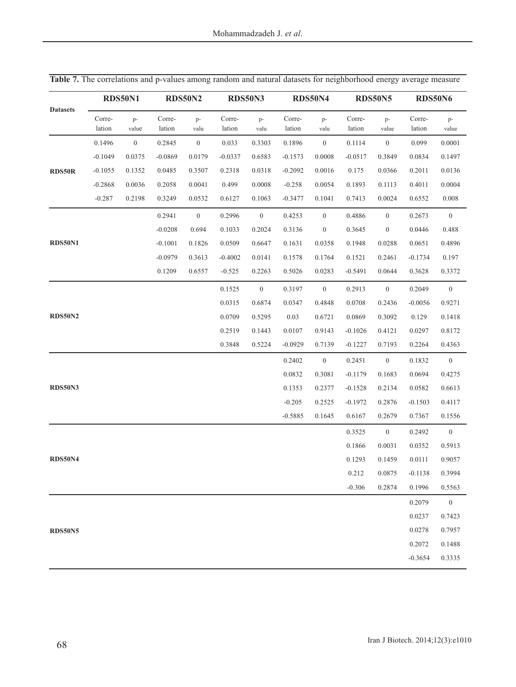|                 | <b>RDS50N1</b>   |                | <b>RDS50N2</b>   |                  |                  | <b>RDS50N3</b>   |                  | <b>RDS50N4</b>   |                  | <b>RDS50N5</b>   | <b>RDS50N6</b>   |                  |
|-----------------|------------------|----------------|------------------|------------------|------------------|------------------|------------------|------------------|------------------|------------------|------------------|------------------|
| <b>Datasets</b> | Corre-<br>lation | p-<br>value    | Corre-<br>lation | $p-$<br>valu     | Corre-<br>lation | p-<br>valu       | Corre-<br>lation | p-<br>valu       | Corre-<br>lation | p-<br>value      | Corre-<br>lation | p-<br>value      |
|                 | 0.1496           | $\overline{0}$ | 0.2845           | $\boldsymbol{0}$ | 0.033            | 0.3303           | 0.1896           | $\overline{0}$   | 0.1114           | $\boldsymbol{0}$ | 0.099            | 0.0001           |
|                 | $-0.1049$        | 0.0375         | $-0.0869$        | 0.0179           | $-0.0337$        | 0.6583           | $-0.1573$        | 0.0008           | $-0.0517$        | 0.3849           | 0.0834           | 0.1497           |
| RDS50R          | $-0.1055$        | 0.1352         | 0.0485           | 0.3507           | 0.2318           | 0.0318           | $-0.2092$        | 0.0016           | 0.175            | 0.0366           | 0.2011           | 0.0136           |
|                 | $-0.2868$        | 0.0036         | 0.2058           | 0.0041           | 0.499            | 0.0008           | $-0.258$         | 0.0054           | 0.1893           | 0.1113           | 0.4011           | 0.0004           |
|                 | $-0.287$         | 0.2198         | 0.3249           | 0.0532           | 0.6127           | 0.1063           | $-0.3477$        | 0.1041           | 0.7413           | 0.0024           | 0.6552           | 0.008            |
|                 |                  |                | 0.2941           | $\boldsymbol{0}$ | 0.2996           | $\boldsymbol{0}$ | 0.4253           | $\boldsymbol{0}$ | 0.4886           | $\boldsymbol{0}$ | 0.2673           | $\boldsymbol{0}$ |
|                 |                  |                | $-0.0208$        | 0.694            | 0.1033           | 0.2024           | 0.3136           | $\boldsymbol{0}$ | 0.3645           | $\boldsymbol{0}$ | 0.0446           | 0.488            |
| <b>RDS50N1</b>  |                  |                | $-0.1001$        | 0.1826           | 0.0509           | 0.6647           | 0.1631           | 0.0358           | 0.1948           | 0.0288           | 0.0651           | 0.4896           |
|                 |                  |                | $-0.0979$        | 0.3613           | $-0.4002$        | 0.0141           | 0.1578           | 0.1764           | 0.1521           | 0.2461           | $-0.1734$        | 0.197            |
|                 |                  |                | 0.1209           | 0.6557           | $-0.525$         | 0.2263           | 0.5026           | 0.0283           | $-0.5491$        | 0.0644           | 0.3628           | 0.3372           |
|                 |                  |                |                  |                  | 0.1525           | $\boldsymbol{0}$ | 0.3197           | $\overline{0}$   | 0.2913           | $\boldsymbol{0}$ | 0.2049           | $\boldsymbol{0}$ |
|                 |                  |                |                  |                  | 0.0315           | 0.6874           | 0.0347           | 0.4848           | 0.0708           | 0.2436           | $-0.0056$        | 0.9271           |
| <b>RDS50N2</b>  |                  |                |                  |                  | 0.0709           | 0.5295           | 0.03             | 0.6721           | 0.0869           | 0.3092           | 0.129            | 0.1418           |
|                 |                  |                |                  |                  | 0.2519           | 0.1443           | 0.0107           | 0.9143           | $-0.1026$        | 0.4121           | 0.0297           | 0.8172           |
|                 |                  |                |                  |                  | 0.3848           | 0.5224           | $-0.0929$        | 0.7139           | $-0.1227$        | 0.7193           | 0.2264           | 0.4363           |
|                 |                  |                |                  |                  |                  |                  | 0.2402           | $\overline{0}$   | 0.2451           | $\boldsymbol{0}$ | 0.1832           | $\boldsymbol{0}$ |
|                 |                  |                |                  |                  |                  |                  | 0.0832           | 0.3081           | $-0.1179$        | 0.1683           | 0.0694           | 0.4275           |
| <b>RDS50N3</b>  |                  |                |                  |                  |                  |                  | 0.1353           | 0.2377           | $-0.1528$        | 0.2134           | 0.0582           | 0.6613           |
|                 |                  |                |                  |                  |                  |                  | $-0.205$         | 0.2525           | $-0.1972$        | 0.2876           | $-0.1503$        | 0.4117           |
|                 |                  |                |                  |                  |                  |                  | $-0.5885$        | 0.1645           | 0.6167           | 0.2679           | 0.7367           | 0.1556           |
|                 |                  |                |                  |                  |                  |                  |                  |                  | 0.3525           | $\boldsymbol{0}$ | 0.2492           | $\mathbf{0}$     |
|                 |                  |                |                  |                  |                  |                  |                  |                  | 0.1866           | 0.0031           | 0.0352           | 0.5913           |
| <b>RDS50N4</b>  |                  |                |                  |                  |                  |                  |                  |                  | 0.1293           | 0.1459           | 0.0111           | 0.9057           |
|                 |                  |                |                  |                  |                  |                  |                  |                  | 0.212            | 0.0875           | $-0.1138$        | 0.3994           |
|                 |                  |                |                  |                  |                  |                  |                  |                  | $-0.306$         | 0.2874           | 0.1996           | 0.5563           |
|                 |                  |                |                  |                  |                  |                  |                  |                  |                  |                  | 0.2079           | $\boldsymbol{0}$ |
|                 |                  |                |                  |                  |                  |                  |                  |                  |                  |                  | 0.0237           | 0.7423           |
| <b>RDS50N5</b>  |                  |                |                  |                  |                  |                  |                  |                  |                  |                  | 0.0278           | 0.7957           |
|                 |                  |                |                  |                  |                  |                  |                  |                  |                  |                  | 0.2072           | 0.1488           |
|                 |                  |                |                  |                  |                  |                  |                  |                  |                  |                  | $-0.3654$        | 0.3335           |

Table 7. The correlations and p-values among random and natural datasets for neighborhood energy average measure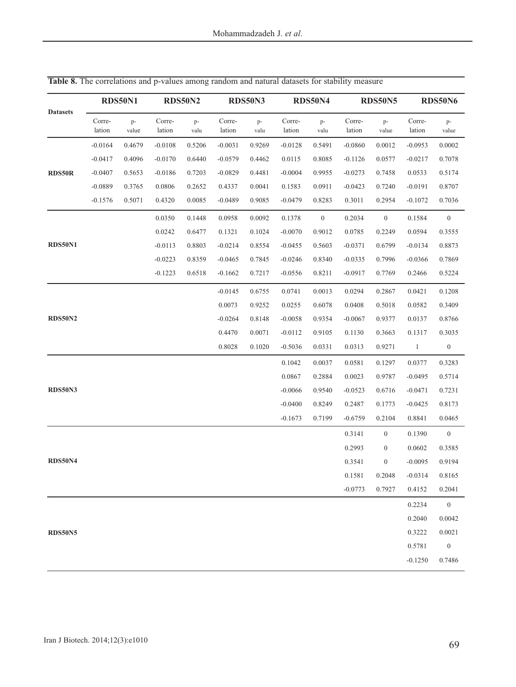|                 |                  | <b>RDS50N1</b> | <b>RDS50N2</b>   |            |                  | <b>RDS50N3</b> |                  | <b>RDS50N4</b>   |                  | <b>RDS50N5</b>    | <b>RDS50N6</b>   |                  |
|-----------------|------------------|----------------|------------------|------------|------------------|----------------|------------------|------------------|------------------|-------------------|------------------|------------------|
| <b>Datasets</b> | Corre-<br>lation | p-<br>value    | Corre-<br>lation | p-<br>valu | Corre-<br>lation | p-<br>valu     | Corre-<br>lation | p-<br>valu       | Corre-<br>lation | p-<br>value       | Corre-<br>lation | p-<br>value      |
|                 | $-0.0164$        | 0.4679         | $-0.0108$        | 0.5206     | $-0.0031$        | 0.9269         | $-0.0128$        | 0.5491           | $-0.0860$        | 0.0012            | $-0.0953$        | 0.0002           |
|                 | $-0.0417$        | 0.4096         | $-0.0170$        | 0.6440     | $-0.0579$        | 0.4462         | 0.0115           | 0.8085           | $-0.1126$        | 0.0577            | $-0.0217$        | 0.7078           |
| <b>RDS50R</b>   | $-0.0407$        | 0.5653         | $-0.0186$        | 0.7203     | $-0.0829$        | 0.4481         | $-0.0004$        | 0.9955           | $-0.0273$        | 0.7458            | 0.0533           | 0.5174           |
|                 | $-0.0889$        | 0.3765         | 0.0806           | 0.2652     | 0.4337           | 0.0041         | 0.1583           | 0.0911           | $-0.0423$        | 0.7240            | $-0.0191$        | 0.8707           |
|                 | $-0.1576$        | 0.5071         | 0.4320           | 0.0085     | $-0.0489$        | 0.9085         | $-0.0479$        | 0.8283           | 0.3011           | 0.2954            | $-0.1072$        | 0.7036           |
|                 |                  |                | 0.0350           | 0.1448     | 0.0958           | 0.0092         | 0.1378           | $\boldsymbol{0}$ | 0.2034           | $\boldsymbol{0}$  | 0.1584           | $\boldsymbol{0}$ |
|                 |                  |                | 0.0242           | 0.6477     | 0.1321           | 0.1024         | $-0.0070$        | 0.9012           | 0.0785           | 0.2249            | 0.0594           | 0.3555           |
| <b>RDS50N1</b>  |                  |                | $-0.0113$        | 0.8803     | $-0.0214$        | 0.8554         | $-0.0455$        | 0.5603           | $-0.0371$        | 0.6799            | $-0.0134$        | 0.8873           |
|                 |                  |                | $-0.0223$        | 0.8359     | $-0.0465$        | 0.7845         | $-0.0246$        | 0.8340           | $-0.0335$        | 0.7996            | $-0.0366$        | 0.7869           |
|                 |                  |                | $-0.1223$        | 0.6518     | $-0.1662$        | 0.7217         | $-0.0556$        | 0.8211           | $-0.0917$        | 0.7769            | 0.2466           | 0.5224           |
|                 |                  |                |                  |            | $-0.0145$        | 0.6755         | 0.0741           | 0.0013           | 0.0294           | 0.2867            | 0.0421           | 0.1208           |
|                 |                  |                |                  |            | 0.0073           | 0.9252         | 0.0255           | 0.6078           | 0.0408           | 0.5018            | 0.0582           | 0.3409           |
| <b>RDS50N2</b>  |                  |                |                  |            | $-0.0264$        | 0.8148         | $-0.0058$        | 0.9354           | $-0.0067$        | 0.9377            | 0.0137           | 0.8766           |
|                 |                  |                |                  |            | 0.4470           | 0.0071         | $-0.0112$        | 0.9105           | 0.1130           | 0.3663            | 0.1317           | 0.3035           |
|                 |                  |                |                  |            | 0.8028           | 0.1020         | $-0.5036$        | 0.0331           | 0.0313           | 0.9271            | $\mathbf{1}$     | $\boldsymbol{0}$ |
|                 |                  |                |                  |            |                  |                | 0.1042           | 0.0037           | 0.0581           | 0.1297            | 0.0377           | 0.3283           |
|                 |                  |                |                  |            |                  |                | 0.0867           | 0.2884           | 0.0023           | 0.9787            | $-0.0495$        | 0.5714           |
| <b>RDS50N3</b>  |                  |                |                  |            |                  |                | $-0.0066$        | 0.9540           | $-0.0523$        | 0.6716            | $-0.0471$        | 0.7231           |
|                 |                  |                |                  |            |                  |                | $-0.0400$        | 0.8249           | 0.2487           | 0.1773            | $-0.0425$        | 0.8173           |
|                 |                  |                |                  |            |                  |                | $-0.1673$        | 0.7199           | $-0.6759$        | 0.2104            | 0.8841           | 0.0465           |
|                 |                  |                |                  |            |                  |                |                  |                  | 0.3141           | $\boldsymbol{0}$  | 0.1390           | $\boldsymbol{0}$ |
|                 |                  |                |                  |            |                  |                |                  |                  | 0.2993           | $\boldsymbol{0}$  | 0.0602           | 0.3585           |
| <b>RDS50N4</b>  |                  |                |                  |            |                  |                |                  |                  | 0.3541           | $\boldsymbol{0}$  | $-0.0095$        | 0.9194           |
|                 |                  |                |                  |            |                  |                |                  |                  |                  | $0.1581$ $0.2048$ | $-0.0314$        | 0.8165           |
|                 |                  |                |                  |            |                  |                |                  |                  | $-0.0773$        | 0.7927            | 0.4152           | 0.2041           |
|                 |                  |                |                  |            |                  |                |                  |                  |                  |                   | 0.2234           | $\boldsymbol{0}$ |
|                 |                  |                |                  |            |                  |                |                  |                  |                  |                   | 0.2040           | 0.0042           |
| <b>RDS50N5</b>  |                  |                |                  |            |                  |                |                  |                  |                  |                   | 0.3222           | 0.0021           |
|                 |                  |                |                  |            |                  |                |                  |                  |                  |                   | 0.5781           | $\boldsymbol{0}$ |
|                 |                  |                |                  |            |                  |                |                  |                  |                  |                   | $-0.1250$        | 0.7486           |

Table 8. The correlations and p-values among random and natural datasets for stability measure